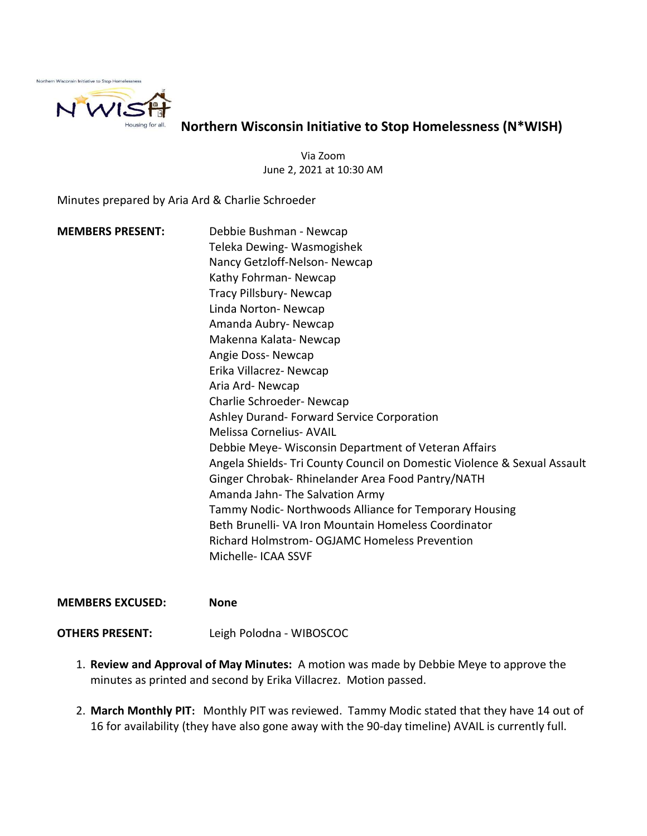

Northern Wisconsin Initiative to Stop Homelessness (N\*WISH)

Via Zoom June 2, 2021 at 10:30 AM

Minutes prepared by Aria Ard & Charlie Schroeder

MEMBERS PRESENT: Debbie Bushman - Newcap Teleka Dewing- Wasmogishek Nancy Getzloff-Nelson- Newcap Kathy Fohrman- Newcap Tracy Pillsbury- Newcap Linda Norton- Newcap Amanda Aubry- Newcap Makenna Kalata- Newcap Angie Doss- Newcap Erika Villacrez- Newcap Aria Ard- Newcap Charlie Schroeder- Newcap Ashley Durand- Forward Service Corporation Melissa Cornelius- AVAIL Debbie Meye- Wisconsin Department of Veteran Affairs Angela Shields- Tri County Council on Domestic Violence & Sexual Assault Ginger Chrobak- Rhinelander Area Food Pantry/NATH Amanda Jahn- The Salvation Army Tammy Nodic- Northwoods Alliance for Temporary Housing Beth Brunelli- VA Iron Mountain Homeless Coordinator Richard Holmstrom- OGJAMC Homeless Prevention Michelle- ICAA SSVF

## MEMBERS EXCUSED: None

OTHERS PRESENT: Leigh Polodna - WIBOSCOC

- 1. Review and Approval of May Minutes: A motion was made by Debbie Meye to approve the minutes as printed and second by Erika Villacrez. Motion passed.
- 2. March Monthly PIT: Monthly PIT was reviewed. Tammy Modic stated that they have 14 out of 16 for availability (they have also gone away with the 90-day timeline) AVAIL is currently full.